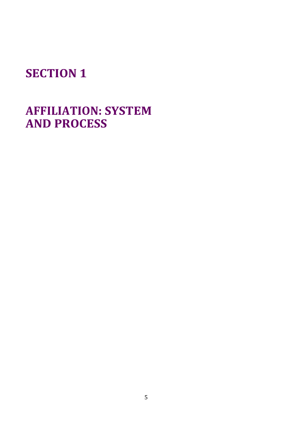## **SECTION 1**

### **AFFILIATION: SYSTEM AND PROCESS**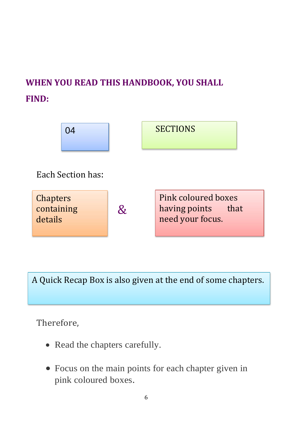## **WHEN YOU READ THIS HANDBOOK, YOU SHALL FIND:**



A Quick Recap Box is also given at the end of some chapters.

Therefore,

- Read the chapters carefully.
- Focus on the main points for each chapter given in pink coloured boxes.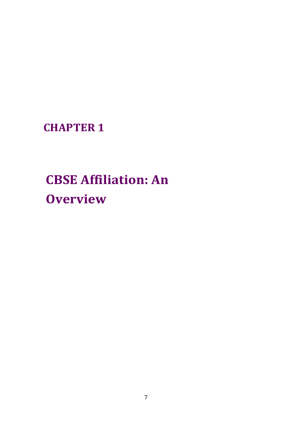**CHAPTER 1**

## **CBSE Affiliation: An Overview**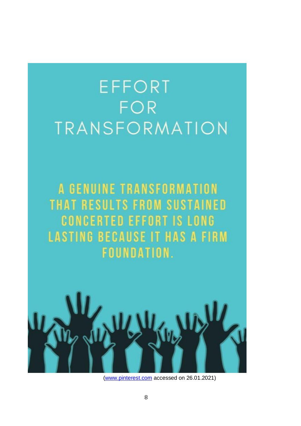# **EFFORT** FOR **TRANSFORMATION**

A GENUINE TRANSFORMATION THAT RESULTS FROM SUSTAINED **CONCERTED EFFORT IS LONG LASTING BECAUSE IT HAS A FIRM** FOUNDATION.



[\(www.pinterest.com](http://www.pinterest.com/) accessed on 26.01.2021)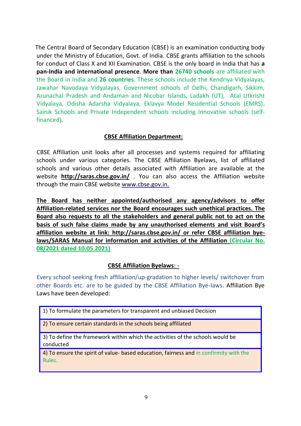The Central Board of Secondary Education (CBSE) is an examination conducting body under the Ministry of Education, Govt. of India. CBSE grants affiliation to the schools for conduct of Class X and XII Examination. CBSE is the only board in India that has **a pan-India and international presence**. **More than 26740 schools** are affiliated with the Board in India and **26 countries**. These schools include the Kendriya Vidyalayas, Jawahar Navodaya Vidyalayas, Government schools of Delhi, Chandigarh, Sikkim, Arunachal Pradesh and Andaman and Nicobar Islands, Ladakh (UT), Atal Utkrisht Vidyalaya, Odisha Adarsha Vidyalaya, Eklavya Model Residential Schools (EMRS), Sainik Schools and Private Independent schools including Innovative schools (selffinanced).

### **CBSE Affiliation Department:**

 CBSE Affiliation unit looks after all processes and systems required for affiliating schools under various categories. The CBSE Affiliation Byelaws, list of affiliated schools and various other details associated with Affiliation are available at the website **<http://saras.cbse.gov.in/>** . You can also access the Affiliation website through the main CBSE website [www.cbse.gov.in.](http://www.cbse.gov.in/)

**The Board has neither appointed/authorised any agency/advisors to offer Affiliation-related services nor the Board encourages such unethical practices. The Board also requests to all the stakeholders and general public not to act on the basis of such false claims made by any unauthorised elements and visit Board's affiliation website at link: <http://saras.cbse.gov.in/> or refer CBSE affiliation byelaws/SARAS Manual for information and activities of the Affiliation (Circular No. 08/2021 dated 10.05.2021)**

### **CBSE Affiliation Byelaws: -**

 Every school seeking fresh affiliation/up-gradation to higher levels/ switchover from other Boards etc. are to be guided by the CBSE Affiliation Bye-laws. Affiliation Bye Laws have been developed:

| 1) To formulate the parameters for transparent and unbiased Decision |  |
|----------------------------------------------------------------------|--|
|----------------------------------------------------------------------|--|

2) To ensure certain standards in the schools being affiliated

3) To define the framework within which the activities of the schools would be conducted

4) To ensure the spirit of value- based education, fairness and in confirmity with the Rules.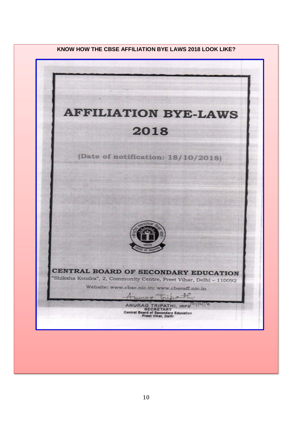